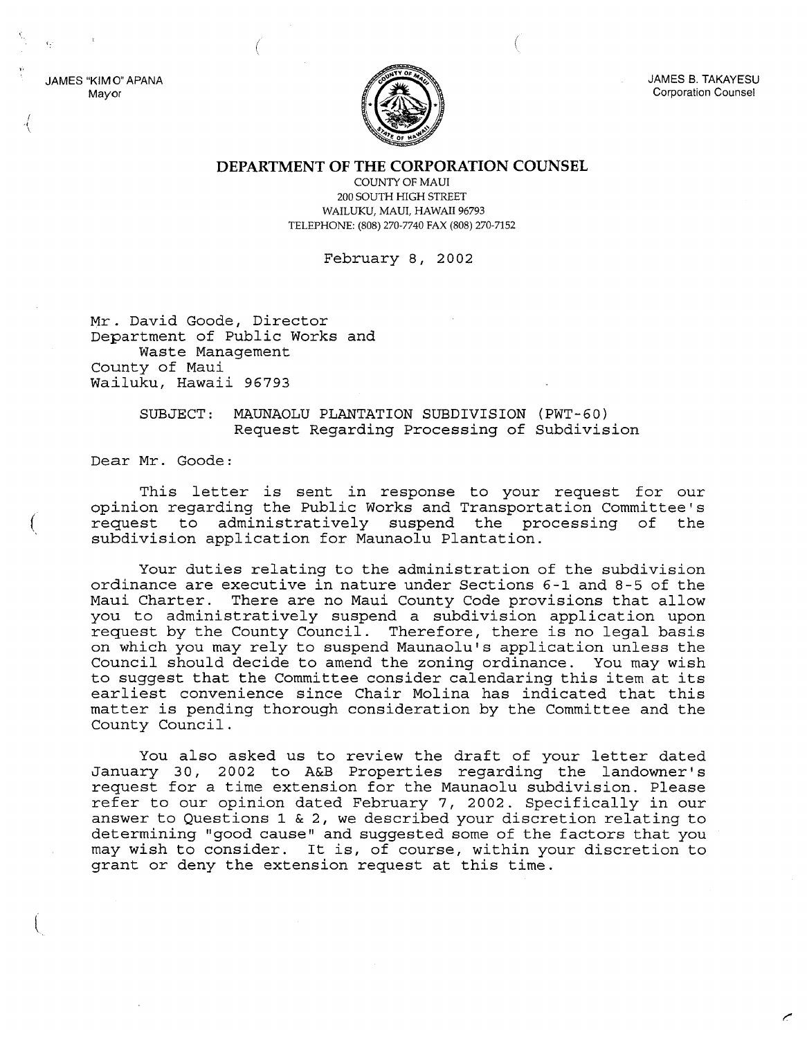JAMES 8. TAKAYESU Corporation Counsel

JAMES "KIMO" APANA Mayor

**DEPARTMENT OF THE CORPORATION COUNSEL**

COUNTY OF MAUl 200 SOUTH HIGH STREET WAILUKU, MAUl, HAWAII 96793 TELEPHONE: (808) 270-7740 FAX (808) 270-7152

February 8, 2002

Mr. David Goode, Director Department of Public Works and Waste Management County of Maui Wailuku, Hawaii 96793

(

## SUBJECT: MAUNAOLU PLANTATION SUBDIVISION (PWT-60) Request Regarding Processing of Subdivision

Dear Mr. Goode:

(

 $\overline{\mathcal{L}}$ 

This letter is sent in response to your request for our opinion regarding the Public Works and Transportation Committee's request to administratively suspend the processing of the subdivision application for Maunaolu Plantation.

Your duties relating to the administration of the subdivision ordinance are executive in nature under Sections 6-1 and 8-5 of the Maui Charter. There are no Maui County Code provisions that allow you to administratively suspend a subdivision application upon request by the County Council. Therefore, there is no legal basis on which you may rely to suspend Maunaolu's application unless the Council should decide to amend the zoning ordinance. You may wish to suggest that the Committee consider calendaring this item at its earliest convenience since Chair Molina has indicated that this matter is pending thorough consideration by the Committee and the County Council.

You also asked us to review the draft of your letter dated January 30, 2002 to A&B Properties regarding the landowner's request for a time extension for the Maunaolu subdivision. Please refer to our opinion dated February 7, 2002. Specifically in our answer to Questions 1 & 2, we described your discretion relating to determining "good cause" and suggested some of the factors that you may wish to consider. It is, of course, within your discretion to grant or deny the extension request at this time.